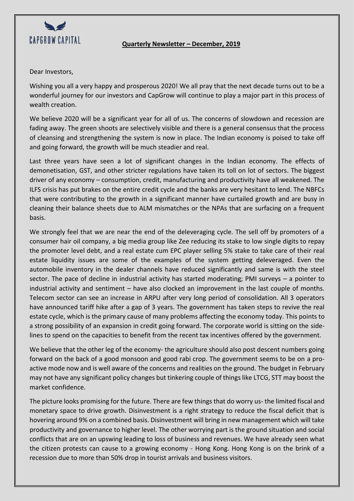

## **Quarterly Newsletter – December, 2019**

## Dear Investors,

Wishing you all a very happy and prosperous 2020! We all pray that the next decade turns out to be a wonderful journey for our investors and CapGrow will continue to play a major part in this process of wealth creation.

We believe 2020 will be a significant year for all of us. The concerns of slowdown and recession are fading away. The green shoots are selectively visible and there is a general consensus that the process of cleansing and strengthening the system is now in place. The Indian economy is poised to take off and going forward, the growth will be much steadier and real.

Last three years have seen a lot of significant changes in the Indian economy. The effects of demonetisation, GST, and other stricter regulations have taken its toll on lot of sectors. The biggest driver of any economy – consumption, credit, manufacturing and productivity have all weakened. The ILFS crisis has put brakes on the entire credit cycle and the banks are very hesitant to lend. The NBFCs that were contributing to the growth in a significant manner have curtailed growth and are busy in cleaning their balance sheets due to ALM mismatches or the NPAs that are surfacing on a frequent basis.

We strongly feel that we are near the end of the deleveraging cycle. The sell off by promoters of a consumer hair oil company, a big media group like Zee reducing its stake to low single digits to repay the promoter level debt, and a real estate cum EPC player selling 5% stake to take care of their real estate liquidity issues are some of the examples of the system getting deleveraged. Even the automobile inventory in the dealer channels have reduced significantly and same is with the steel sector. The pace of decline in industrial activity has started moderating; PMI surveys – a pointer to industrial activity and sentiment – have also clocked an improvement in the last couple of months. Telecom sector can see an increase in ARPU after very long period of consolidation. All 3 operators have announced tariff hike after a gap of 3 years. The government has taken steps to revive the real estate cycle, which is the primary cause of many problems affecting the economy today. This points to a strong possibility of an expansion in credit going forward. The corporate world is sitting on the sidelines to spend on the capacities to benefit from the recent tax incentives offered by the government.

We believe that the other leg of the economy- the agriculture should also post descent numbers going forward on the back of a good monsoon and good rabi crop. The government seems to be on a proactive mode now and is well aware of the concerns and realities on the ground. The budget in February may not have any significant policy changes but tinkering couple of things like LTCG, STT may boost the market confidence.

The picture looks promising for the future. There are few things that do worry us- the limited fiscal and monetary space to drive growth. Disinvestment is a right strategy to reduce the fiscal deficit that is hovering around 9% on a combined basis. Disinvestment will bring in new management which will take productivity and governance to higher level. The other worrying part is the ground situation and social conflicts that are on an upswing leading to loss of business and revenues. We have already seen what the citizen protests can cause to a growing economy - Hong Kong. Hong Kong is on the brink of a recession due to more than 50% drop in tourist arrivals and business visitors.